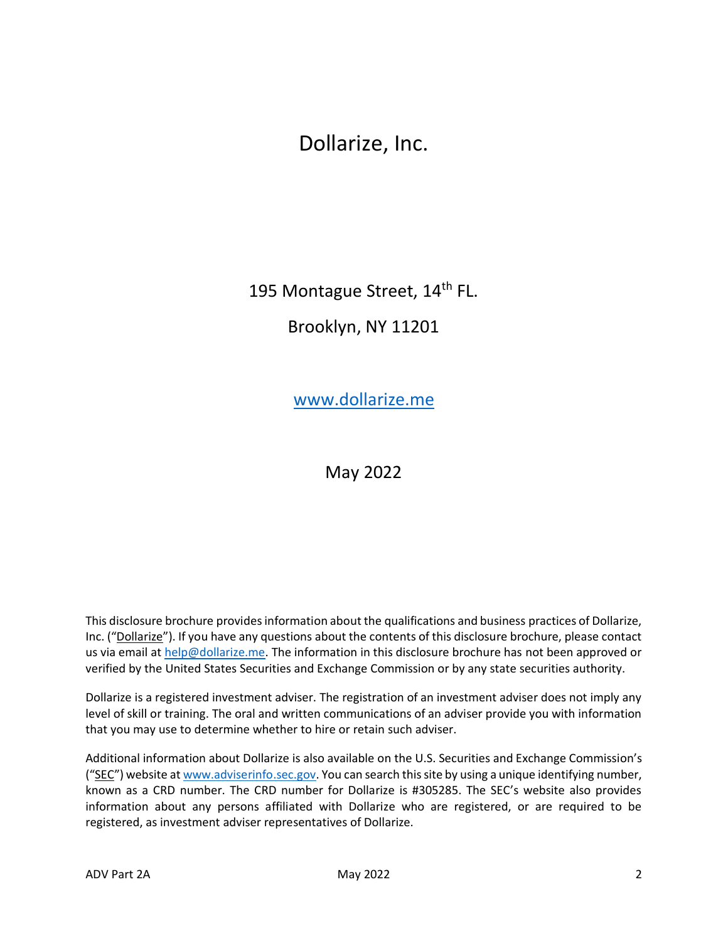# Dollarize, Inc.

195 Montague Street, 14<sup>th</sup> FL.

Brooklyn, NY 11201

[www.dollarize.me](https://www.dollarize.me/)

May 2022

This disclosure brochure provides information about the qualifications and business practices of Dollarize, Inc. ("Dollarize"). If you have any questions about the contents of this disclosure brochure, please contact us via email at [help@dollarize.me.](mailto:help@dollarize.me) The information in this disclosure brochure has not been approved or verified by the United States Securities and Exchange Commission or by any state securities authority.

Dollarize is a registered investment adviser. The registration of an investment adviser does not imply any level of skill or training. The oral and written communications of an adviser provide you with information that you may use to determine whether to hire or retain such adviser.

Additional information about Dollarize is also available on the U.S. Securities and Exchange Commission's ("SEC") website at [www.adviserinfo.sec.gov.](http://www.adviserinfo.sec.gov/) You can search this site by using a unique identifying number, known as a CRD number. The CRD number for Dollarize is #305285. The SEC's website also provides information about any persons affiliated with Dollarize who are registered, or are required to be registered, as investment adviser representatives of Dollarize.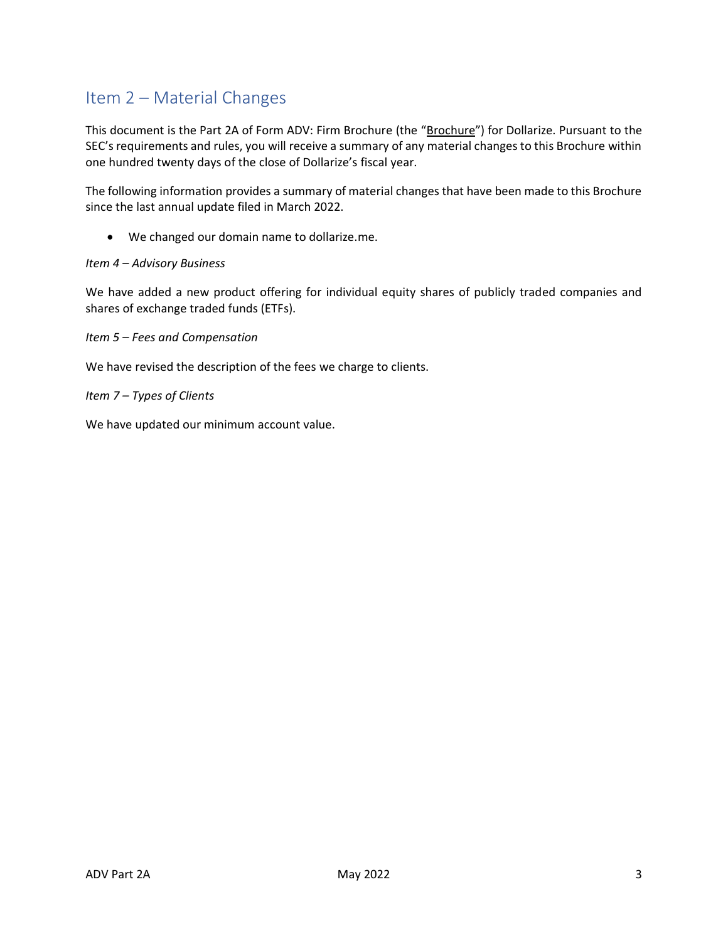# <span id="page-1-0"></span>Item 2 – Material Changes

This document is the Part 2A of Form ADV: Firm Brochure (the "Brochure") for Dollarize. Pursuant to the SEC's requirements and rules, you will receive a summary of any material changes to this Brochure within one hundred twenty days of the close of Dollarize's fiscal year.

The following information provides a summary of material changes that have been made to this Brochure since the last annual update filed in March 2022.

• We changed our domain name to dollarize.me.

#### *Item 4 – Advisory Business*

We have added a new product offering for individual equity shares of publicly traded companies and shares of exchange traded funds (ETFs).

*Item 5 – Fees and Compensation* 

We have revised the description of the fees we charge to clients.

*Item 7 – Types of Clients*

We have updated our minimum account value.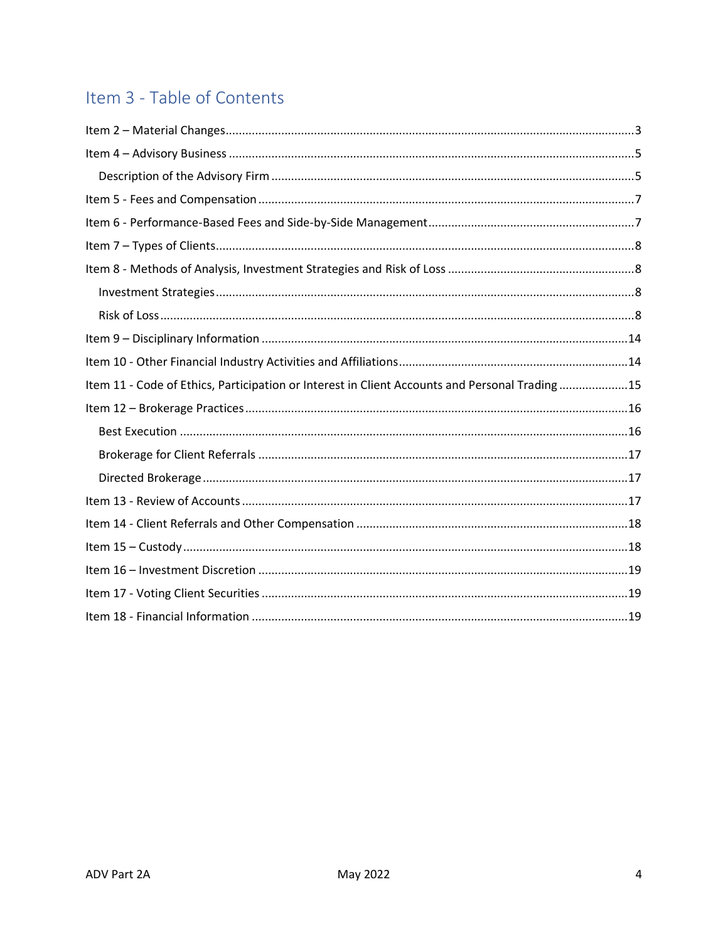# Item 3 - Table of Contents

| Item 11 - Code of Ethics, Participation or Interest in Client Accounts and Personal Trading15 |
|-----------------------------------------------------------------------------------------------|
|                                                                                               |
|                                                                                               |
|                                                                                               |
|                                                                                               |
|                                                                                               |
|                                                                                               |
|                                                                                               |
|                                                                                               |
|                                                                                               |
|                                                                                               |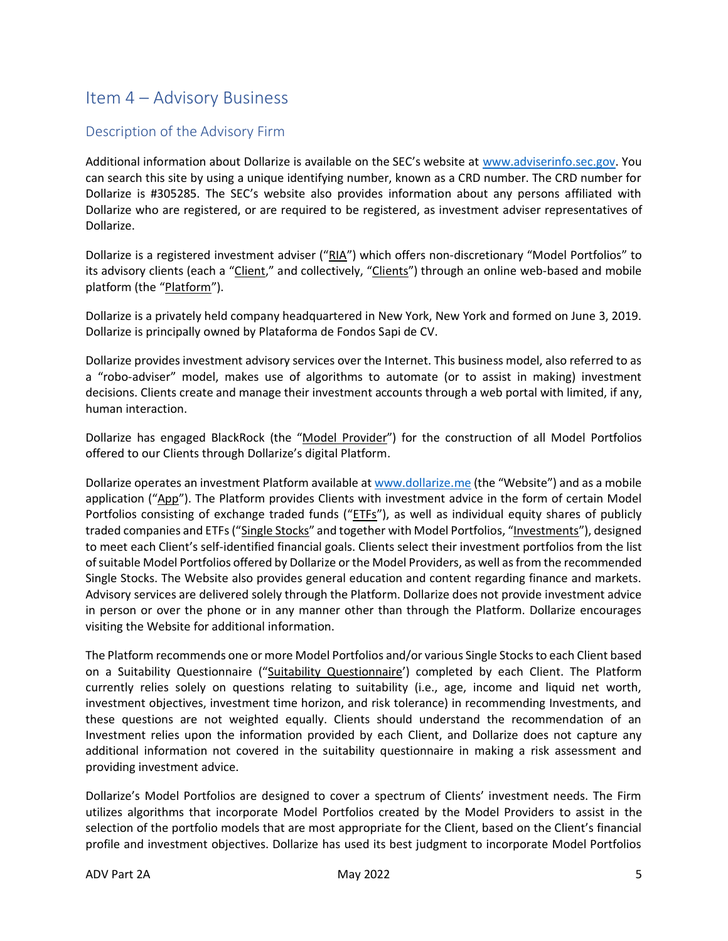### <span id="page-3-0"></span>Item 4 – Advisory Business

#### <span id="page-3-1"></span>Description of the Advisory Firm

Additional information about Dollarize is available on the SEC's website at [www.adviserinfo.sec.gov.](http://www.adviserinfo.sec.gov/) You can search this site by using a unique identifying number, known as a CRD number. The CRD number for Dollarize is #305285. The SEC's website also provides information about any persons affiliated with Dollarize who are registered, or are required to be registered, as investment adviser representatives of Dollarize.

Dollarize is a registered investment adviser ("RIA") which offers non-discretionary "Model Portfolios" to its advisory clients (each a "Client," and collectively, "Clients") through an online web-based and mobile platform (the "Platform").

Dollarize is a privately held company headquartered in New York, New York and formed on June 3, 2019. Dollarize is principally owned by Plataforma de Fondos Sapi de CV.

Dollarize provides investment advisory services over the Internet. This business model, also referred to as a "robo-adviser" model, makes use of algorithms to automate (or to assist in making) investment decisions. Clients create and manage their investment accounts through a web portal with limited, if any, human interaction.

Dollarize has engaged BlackRock (the "Model Provider") for the construction of all Model Portfolios offered to our Clients through Dollarize's digital Platform.

Dollarize operates an investment Platform available at [www.dollarize.me](https://www.dollarize.me/) (the "Website") and as a mobile application ("App"). The Platform provides Clients with investment advice in the form of certain Model Portfolios consisting of exchange traded funds ("ETFs"), as well as individual equity shares of publicly traded companies and ETFs ("Single Stocks" and together with Model Portfolios, "Investments"), designed to meet each Client's self-identified financial goals. Clients select their investment portfolios from the list of suitable Model Portfolios offered by Dollarize or the Model Providers, as well as from the recommended Single Stocks. The Website also provides general education and content regarding finance and markets. Advisory services are delivered solely through the Platform. Dollarize does not provide investment advice in person or over the phone or in any manner other than through the Platform. Dollarize encourages visiting the Website for additional information.

The Platform recommends one or more Model Portfolios and/or various Single Stocks to each Client based on a Suitability Questionnaire ("Suitability Questionnaire') completed by each Client. The Platform currently relies solely on questions relating to suitability (i.e., age, income and liquid net worth, investment objectives, investment time horizon, and risk tolerance) in recommending Investments, and these questions are not weighted equally. Clients should understand the recommendation of an Investment relies upon the information provided by each Client, and Dollarize does not capture any additional information not covered in the suitability questionnaire in making a risk assessment and providing investment advice.

Dollarize's Model Portfolios are designed to cover a spectrum of Clients' investment needs. The Firm utilizes algorithms that incorporate Model Portfolios created by the Model Providers to assist in the selection of the portfolio models that are most appropriate for the Client, based on the Client's financial profile and investment objectives. Dollarize has used its best judgment to incorporate Model Portfolios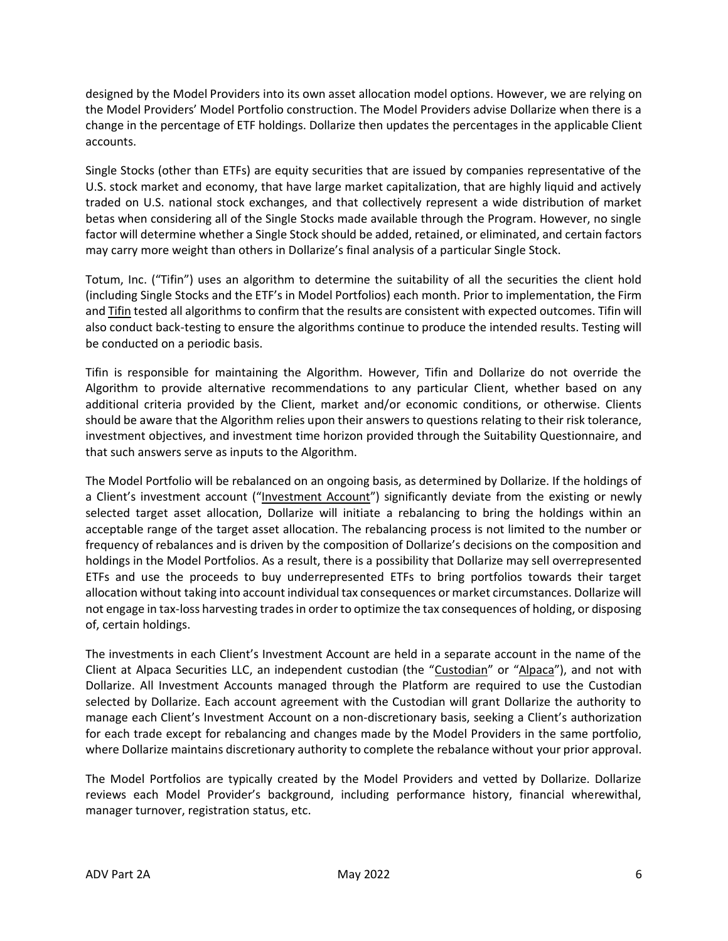designed by the Model Providers into its own asset allocation model options. However, we are relying on the Model Providers' Model Portfolio construction. The Model Providers advise Dollarize when there is a change in the percentage of ETF holdings. Dollarize then updates the percentages in the applicable Client accounts.

Single Stocks (other than ETFs) are equity securities that are issued by companies representative of the U.S. stock market and economy, that have large market capitalization, that are highly liquid and actively traded on U.S. national stock exchanges, and that collectively represent a wide distribution of market betas when considering all of the Single Stocks made available through the Program. However, no single factor will determine whether a Single Stock should be added, retained, or eliminated, and certain factors may carry more weight than others in Dollarize's final analysis of a particular Single Stock.

Totum, Inc. ("Tifin") uses an algorithm to determine the suitability of all the securities the client hold (including Single Stocks and the ETF's in Model Portfolios) each month. Prior to implementation, the Firm and Tifin tested all algorithms to confirm that the results are consistent with expected outcomes. Tifin will also conduct back-testing to ensure the algorithms continue to produce the intended results. Testing will be conducted on a periodic basis.

Tifin is responsible for maintaining the Algorithm. However, Tifin and Dollarize do not override the Algorithm to provide alternative recommendations to any particular Client, whether based on any additional criteria provided by the Client, market and/or economic conditions, or otherwise. Clients should be aware that the Algorithm relies upon their answers to questions relating to their risk tolerance, investment objectives, and investment time horizon provided through the Suitability Questionnaire, and that such answers serve as inputs to the Algorithm.

The Model Portfolio will be rebalanced on an ongoing basis, as determined by Dollarize. If the holdings of a Client's investment account ("Investment Account") significantly deviate from the existing or newly selected target asset allocation, Dollarize will initiate a rebalancing to bring the holdings within an acceptable range of the target asset allocation. The rebalancing process is not limited to the number or frequency of rebalances and is driven by the composition of Dollarize's decisions on the composition and holdings in the Model Portfolios. As a result, there is a possibility that Dollarize may sell overrepresented ETFs and use the proceeds to buy underrepresented ETFs to bring portfolios towards their target allocation without taking into account individual tax consequences or market circumstances. Dollarize will not engage in tax-loss harvesting trades in order to optimize the tax consequences of holding, or disposing of, certain holdings.

The investments in each Client's Investment Account are held in a separate account in the name of the Client at Alpaca Securities LLC, an independent custodian (the "Custodian" or "Alpaca"), and not with Dollarize. All Investment Accounts managed through the Platform are required to use the Custodian selected by Dollarize. Each account agreement with the Custodian will grant Dollarize the authority to manage each Client's Investment Account on a non-discretionary basis, seeking a Client's authorization for each trade except for rebalancing and changes made by the Model Providers in the same portfolio, where Dollarize maintains discretionary authority to complete the rebalance without your prior approval.

The Model Portfolios are typically created by the Model Providers and vetted by Dollarize. Dollarize reviews each Model Provider's background, including performance history, financial wherewithal, manager turnover, registration status, etc.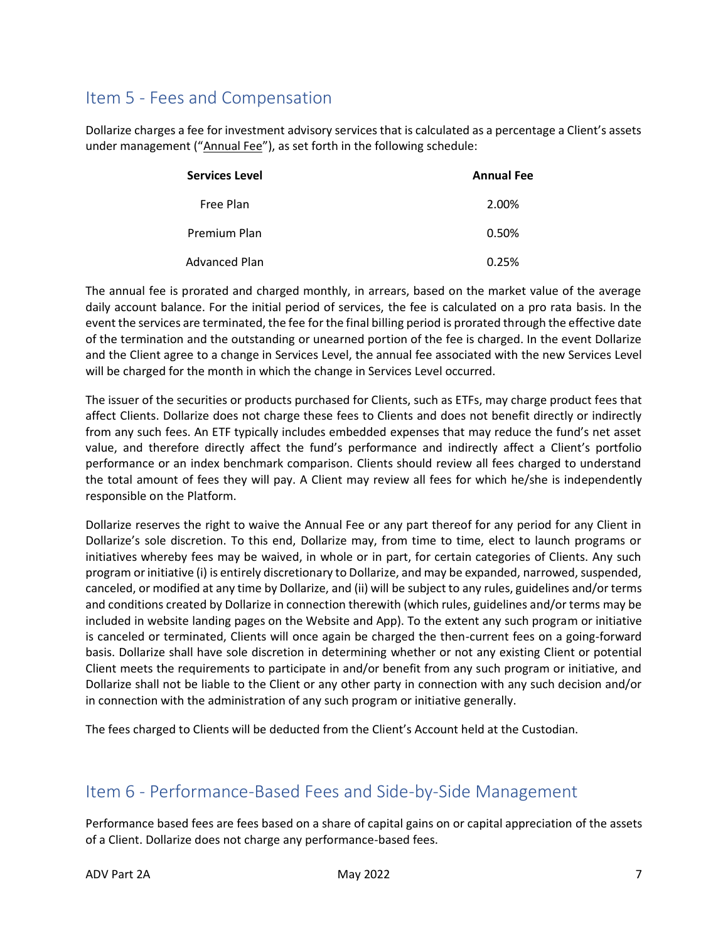# <span id="page-5-0"></span>Item 5 - Fees and Compensation

Dollarize charges a fee for investment advisory services that is calculated as a percentage a Client's assets under management ("Annual Fee"), as set forth in the following schedule:

| <b>Services Level</b> | <b>Annual Fee</b> |
|-----------------------|-------------------|
| Free Plan             | 2.00%             |
| Premium Plan          | 0.50%             |
| Advanced Plan         | 0.25%             |

The annual fee is prorated and charged monthly, in arrears, based on the market value of the average daily account balance. For the initial period of services, the fee is calculated on a pro rata basis. In the event the services are terminated, the fee for the final billing period is prorated through the effective date of the termination and the outstanding or unearned portion of the fee is charged. In the event Dollarize and the Client agree to a change in Services Level, the annual fee associated with the new Services Level will be charged for the month in which the change in Services Level occurred.

The issuer of the securities or products purchased for Clients, such as ETFs, may charge product fees that affect Clients. Dollarize does not charge these fees to Clients and does not benefit directly or indirectly from any such fees. An ETF typically includes embedded expenses that may reduce the fund's net asset value, and therefore directly affect the fund's performance and indirectly affect a Client's portfolio performance or an index benchmark comparison. Clients should review all fees charged to understand the total amount of fees they will pay. A Client may review all fees for which he/she is independently responsible on the Platform.

Dollarize reserves the right to waive the Annual Fee or any part thereof for any period for any Client in Dollarize's sole discretion. To this end, Dollarize may, from time to time, elect to launch programs or initiatives whereby fees may be waived, in whole or in part, for certain categories of Clients. Any such program or initiative (i) is entirely discretionary to Dollarize, and may be expanded, narrowed, suspended, canceled, or modified at any time by Dollarize, and (ii) will be subject to any rules, guidelines and/or terms and conditions created by Dollarize in connection therewith (which rules, guidelines and/or terms may be included in website landing pages on the Website and App). To the extent any such program or initiative is canceled or terminated, Clients will once again be charged the then-current fees on a going-forward basis. Dollarize shall have sole discretion in determining whether or not any existing Client or potential Client meets the requirements to participate in and/or benefit from any such program or initiative, and Dollarize shall not be liable to the Client or any other party in connection with any such decision and/or in connection with the administration of any such program or initiative generally.

The fees charged to Clients will be deducted from the Client's Account held at the Custodian.

## <span id="page-5-1"></span>Item 6 - Performance-Based Fees and Side-by-Side Management

Performance based fees are fees based on a share of capital gains on or capital appreciation of the assets of a Client. Dollarize does not charge any performance-based fees.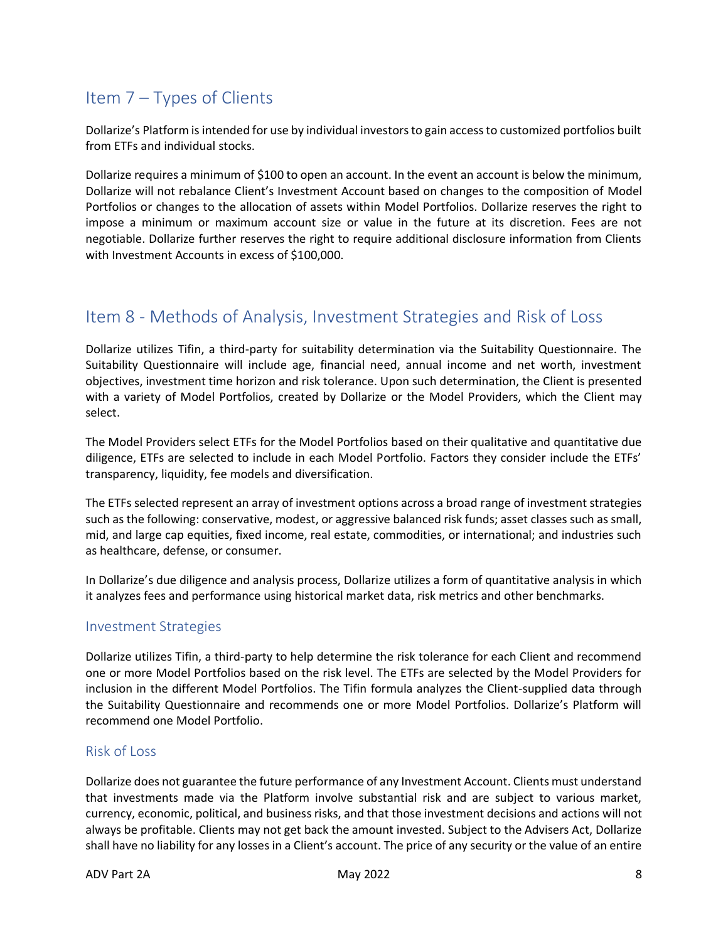# <span id="page-6-0"></span>Item 7 – Types of Clients

Dollarize's Platform is intended for use by individual investors to gain access to customized portfolios built from ETFs and individual stocks.

Dollarize requires a minimum of \$100 to open an account. In the event an account is below the minimum, Dollarize will not rebalance Client's Investment Account based on changes to the composition of Model Portfolios or changes to the allocation of assets within Model Portfolios. Dollarize reserves the right to impose a minimum or maximum account size or value in the future at its discretion. Fees are not negotiable. Dollarize further reserves the right to require additional disclosure information from Clients with Investment Accounts in excess of \$100,000.

### <span id="page-6-1"></span>Item 8 - Methods of Analysis, Investment Strategies and Risk of Loss

Dollarize utilizes Tifin, a third-party for suitability determination via the Suitability Questionnaire. The Suitability Questionnaire will include age, financial need, annual income and net worth, investment objectives, investment time horizon and risk tolerance. Upon such determination, the Client is presented with a variety of Model Portfolios, created by Dollarize or the Model Providers, which the Client may select.

The Model Providers select ETFs for the Model Portfolios based on their qualitative and quantitative due diligence, ETFs are selected to include in each Model Portfolio. Factors they consider include the ETFs' transparency, liquidity, fee models and diversification.

The ETFs selected represent an array of investment options across a broad range of investment strategies such as the following: conservative, modest, or aggressive balanced risk funds; asset classes such as small, mid, and large cap equities, fixed income, real estate, commodities, or international; and industries such as healthcare, defense, or consumer.

In Dollarize's due diligence and analysis process, Dollarize utilizes a form of quantitative analysis in which it analyzes fees and performance using historical market data, risk metrics and other benchmarks.

#### <span id="page-6-2"></span>Investment Strategies

Dollarize utilizes Tifin, a third-party to help determine the risk tolerance for each Client and recommend one or more Model Portfolios based on the risk level. The ETFs are selected by the Model Providers for inclusion in the different Model Portfolios. The Tifin formula analyzes the Client-supplied data through the Suitability Questionnaire and recommends one or more Model Portfolios. Dollarize's Platform will recommend one Model Portfolio.

#### <span id="page-6-3"></span>Risk of Loss

Dollarize does not guarantee the future performance of any Investment Account. Clients must understand that investments made via the Platform involve substantial risk and are subject to various market, currency, economic, political, and business risks, and that those investment decisions and actions will not always be profitable. Clients may not get back the amount invested. Subject to the Advisers Act, Dollarize shall have no liability for any losses in a Client's account. The price of any security or the value of an entire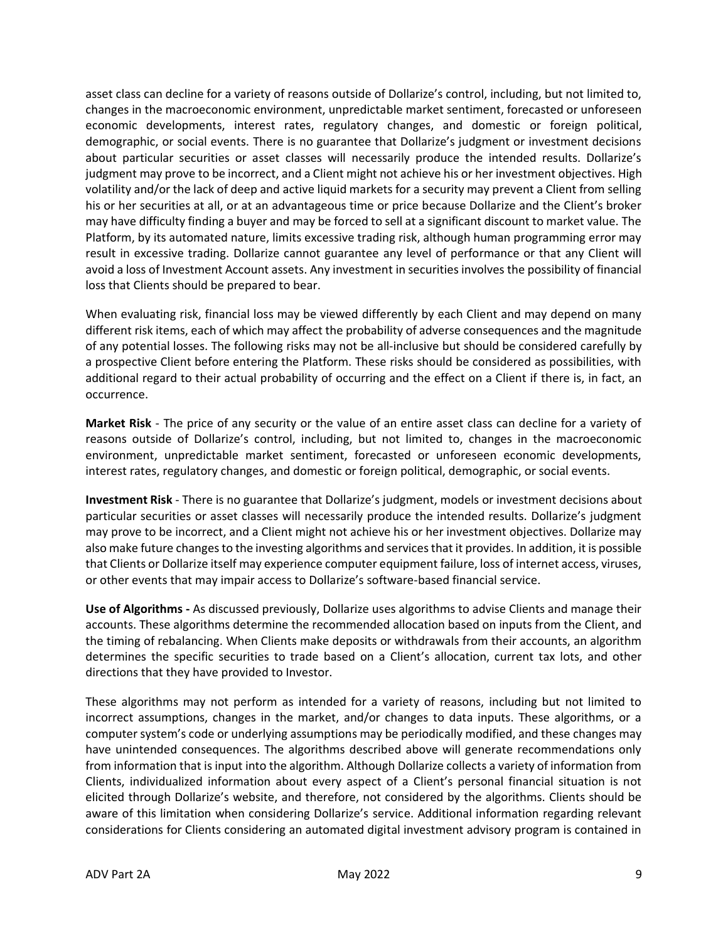asset class can decline for a variety of reasons outside of Dollarize's control, including, but not limited to, changes in the macroeconomic environment, unpredictable market sentiment, forecasted or unforeseen economic developments, interest rates, regulatory changes, and domestic or foreign political, demographic, or social events. There is no guarantee that Dollarize's judgment or investment decisions about particular securities or asset classes will necessarily produce the intended results. Dollarize's judgment may prove to be incorrect, and a Client might not achieve his or her investment objectives. High volatility and/or the lack of deep and active liquid markets for a security may prevent a Client from selling his or her securities at all, or at an advantageous time or price because Dollarize and the Client's broker may have difficulty finding a buyer and may be forced to sell at a significant discount to market value. The Platform, by its automated nature, limits excessive trading risk, although human programming error may result in excessive trading. Dollarize cannot guarantee any level of performance or that any Client will avoid a loss of Investment Account assets. Any investment in securities involves the possibility of financial loss that Clients should be prepared to bear.

When evaluating risk, financial loss may be viewed differently by each Client and may depend on many different risk items, each of which may affect the probability of adverse consequences and the magnitude of any potential losses. The following risks may not be all-inclusive but should be considered carefully by a prospective Client before entering the Platform. These risks should be considered as possibilities, with additional regard to their actual probability of occurring and the effect on a Client if there is, in fact, an occurrence.

**Market Risk** - The price of any security or the value of an entire asset class can decline for a variety of reasons outside of Dollarize's control, including, but not limited to, changes in the macroeconomic environment, unpredictable market sentiment, forecasted or unforeseen economic developments, interest rates, regulatory changes, and domestic or foreign political, demographic, or social events.

**Investment Risk** - There is no guarantee that Dollarize's judgment, models or investment decisions about particular securities or asset classes will necessarily produce the intended results. Dollarize's judgment may prove to be incorrect, and a Client might not achieve his or her investment objectives. Dollarize may also make future changes to the investing algorithms and services that it provides. In addition, it is possible that Clients or Dollarize itself may experience computer equipment failure, loss of internet access, viruses, or other events that may impair access to Dollarize's software-based financial service.

**Use of Algorithms -** As discussed previously, Dollarize uses algorithms to advise Clients and manage their accounts. These algorithms determine the recommended allocation based on inputs from the Client, and the timing of rebalancing. When Clients make deposits or withdrawals from their accounts, an algorithm determines the specific securities to trade based on a Client's allocation, current tax lots, and other directions that they have provided to Investor.

These algorithms may not perform as intended for a variety of reasons, including but not limited to incorrect assumptions, changes in the market, and/or changes to data inputs. These algorithms, or a computer system's code or underlying assumptions may be periodically modified, and these changes may have unintended consequences. The algorithms described above will generate recommendations only from information that is input into the algorithm. Although Dollarize collects a variety of information from Clients, individualized information about every aspect of a Client's personal financial situation is not elicited through Dollarize's website, and therefore, not considered by the algorithms. Clients should be aware of this limitation when considering Dollarize's service. Additional information regarding relevant considerations for Clients considering an automated digital investment advisory program is contained in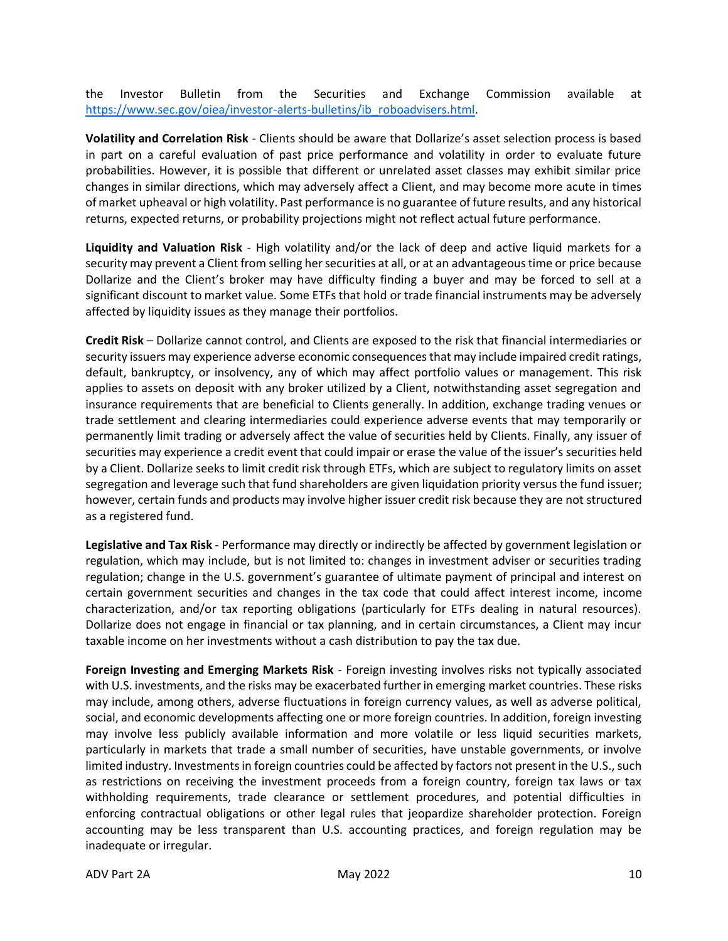the Investor Bulletin from the Securities and Exchange Commission available at [https://www.sec.gov/oiea/investor-alerts-bulletins/ib\\_roboadvisers.html.](https://www.sec.gov/oiea/investor-alerts-bulletins/ib_roboadvisers.html)

**Volatility and Correlation Risk** - Clients should be aware that Dollarize's asset selection process is based in part on a careful evaluation of past price performance and volatility in order to evaluate future probabilities. However, it is possible that different or unrelated asset classes may exhibit similar price changes in similar directions, which may adversely affect a Client, and may become more acute in times of market upheaval or high volatility. Past performance is no guarantee of future results, and any historical returns, expected returns, or probability projections might not reflect actual future performance.

**Liquidity and Valuation Risk** - High volatility and/or the lack of deep and active liquid markets for a security may prevent a Client from selling her securities at all, or at an advantageous time or price because Dollarize and the Client's broker may have difficulty finding a buyer and may be forced to sell at a significant discount to market value. Some ETFs that hold or trade financial instruments may be adversely affected by liquidity issues as they manage their portfolios.

**Credit Risk** – Dollarize cannot control, and Clients are exposed to the risk that financial intermediaries or security issuers may experience adverse economic consequences that may include impaired credit ratings, default, bankruptcy, or insolvency, any of which may affect portfolio values or management. This risk applies to assets on deposit with any broker utilized by a Client, notwithstanding asset segregation and insurance requirements that are beneficial to Clients generally. In addition, exchange trading venues or trade settlement and clearing intermediaries could experience adverse events that may temporarily or permanently limit trading or adversely affect the value of securities held by Clients. Finally, any issuer of securities may experience a credit event that could impair or erase the value of the issuer's securities held by a Client. Dollarize seeks to limit credit risk through ETFs, which are subject to regulatory limits on asset segregation and leverage such that fund shareholders are given liquidation priority versus the fund issuer; however, certain funds and products may involve higher issuer credit risk because they are not structured as a registered fund.

**Legislative and Tax Risk** - Performance may directly or indirectly be affected by government legislation or regulation, which may include, but is not limited to: changes in investment adviser or securities trading regulation; change in the U.S. government's guarantee of ultimate payment of principal and interest on certain government securities and changes in the tax code that could affect interest income, income characterization, and/or tax reporting obligations (particularly for ETFs dealing in natural resources). Dollarize does not engage in financial or tax planning, and in certain circumstances, a Client may incur taxable income on her investments without a cash distribution to pay the tax due.

**Foreign Investing and Emerging Markets Risk** - Foreign investing involves risks not typically associated with U.S. investments, and the risks may be exacerbated further in emerging market countries. These risks may include, among others, adverse fluctuations in foreign currency values, as well as adverse political, social, and economic developments affecting one or more foreign countries. In addition, foreign investing may involve less publicly available information and more volatile or less liquid securities markets, particularly in markets that trade a small number of securities, have unstable governments, or involve limited industry. Investments in foreign countries could be affected by factors not present in the U.S., such as restrictions on receiving the investment proceeds from a foreign country, foreign tax laws or tax withholding requirements, trade clearance or settlement procedures, and potential difficulties in enforcing contractual obligations or other legal rules that jeopardize shareholder protection. Foreign accounting may be less transparent than U.S. accounting practices, and foreign regulation may be inadequate or irregular.

ADV Part 2A and the control of May 2022 and the control of the control of the control of the control of the control of the control of the control of the control of the control of the control of the control of the control o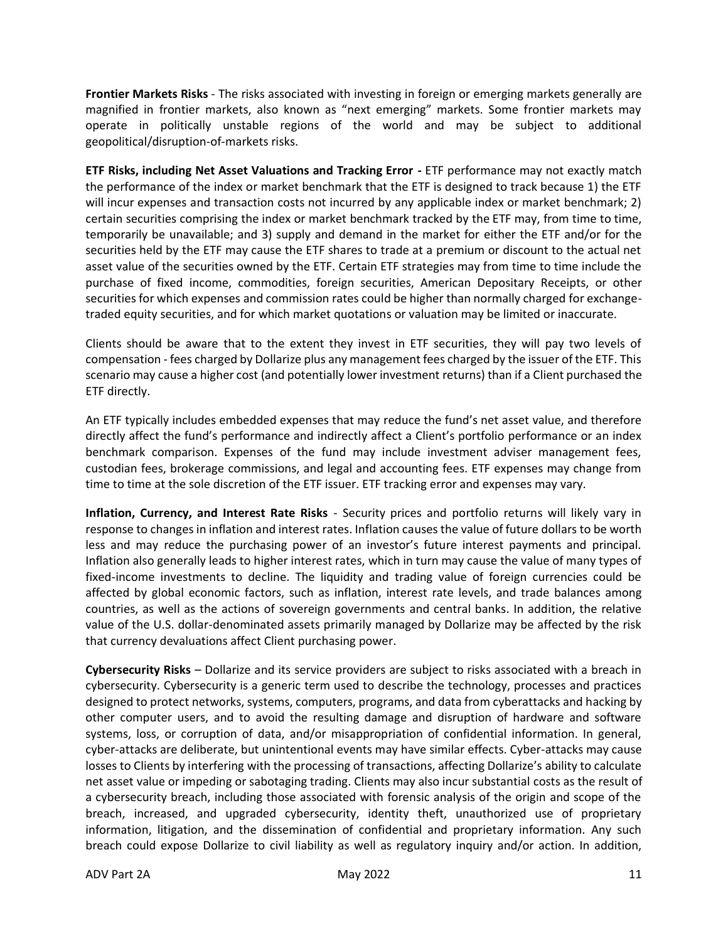**Frontier Markets Risks** - The risks associated with investing in foreign or emerging markets generally are magnified in frontier markets, also known as "next emerging" markets. Some frontier markets may operate in politically unstable regions of the world and may be subject to additional geopolitical/disruption-of-markets risks.

**ETF Risks, including Net Asset Valuations and Tracking Error -** ETF performance may not exactly match the performance of the index or market benchmark that the ETF is designed to track because 1) the ETF will incur expenses and transaction costs not incurred by any applicable index or market benchmark; 2) certain securities comprising the index or market benchmark tracked by the ETF may, from time to time, temporarily be unavailable; and 3) supply and demand in the market for either the ETF and/or for the securities held by the ETF may cause the ETF shares to trade at a premium or discount to the actual net asset value of the securities owned by the ETF. Certain ETF strategies may from time to time include the purchase of fixed income, commodities, foreign securities, American Depositary Receipts, or other securities for which expenses and commission rates could be higher than normally charged for exchangetraded equity securities, and for which market quotations or valuation may be limited or inaccurate.

Clients should be aware that to the extent they invest in ETF securities, they will pay two levels of compensation - fees charged by Dollarize plus any management fees charged by the issuer of the ETF. This scenario may cause a higher cost (and potentially lower investment returns) than if a Client purchased the ETF directly.

An ETF typically includes embedded expenses that may reduce the fund's net asset value, and therefore directly affect the fund's performance and indirectly affect a Client's portfolio performance or an index benchmark comparison. Expenses of the fund may include investment adviser management fees, custodian fees, brokerage commissions, and legal and accounting fees. ETF expenses may change from time to time at the sole discretion of the ETF issuer. ETF tracking error and expenses may vary.

**Inflation, Currency, and Interest Rate Risks** - Security prices and portfolio returns will likely vary in response to changes in inflation and interest rates. Inflation causes the value of future dollars to be worth less and may reduce the purchasing power of an investor's future interest payments and principal. Inflation also generally leads to higher interest rates, which in turn may cause the value of many types of fixed-income investments to decline. The liquidity and trading value of foreign currencies could be affected by global economic factors, such as inflation, interest rate levels, and trade balances among countries, as well as the actions of sovereign governments and central banks. In addition, the relative value of the U.S. dollar-denominated assets primarily managed by Dollarize may be affected by the risk that currency devaluations affect Client purchasing power.

**Cybersecurity Risks** – Dollarize and its service providers are subject to risks associated with a breach in cybersecurity. Cybersecurity is a generic term used to describe the technology, processes and practices designed to protect networks, systems, computers, programs, and data from cyberattacks and hacking by other computer users, and to avoid the resulting damage and disruption of hardware and software systems, loss, or corruption of data, and/or misappropriation of confidential information. In general, cyber-attacks are deliberate, but unintentional events may have similar effects. Cyber-attacks may cause losses to Clients by interfering with the processing of transactions, affecting Dollarize's ability to calculate net asset value or impeding or sabotaging trading. Clients may also incur substantial costs as the result of a cybersecurity breach, including those associated with forensic analysis of the origin and scope of the breach, increased, and upgraded cybersecurity, identity theft, unauthorized use of proprietary information, litigation, and the dissemination of confidential and proprietary information. Any such breach could expose Dollarize to civil liability as well as regulatory inquiry and/or action. In addition,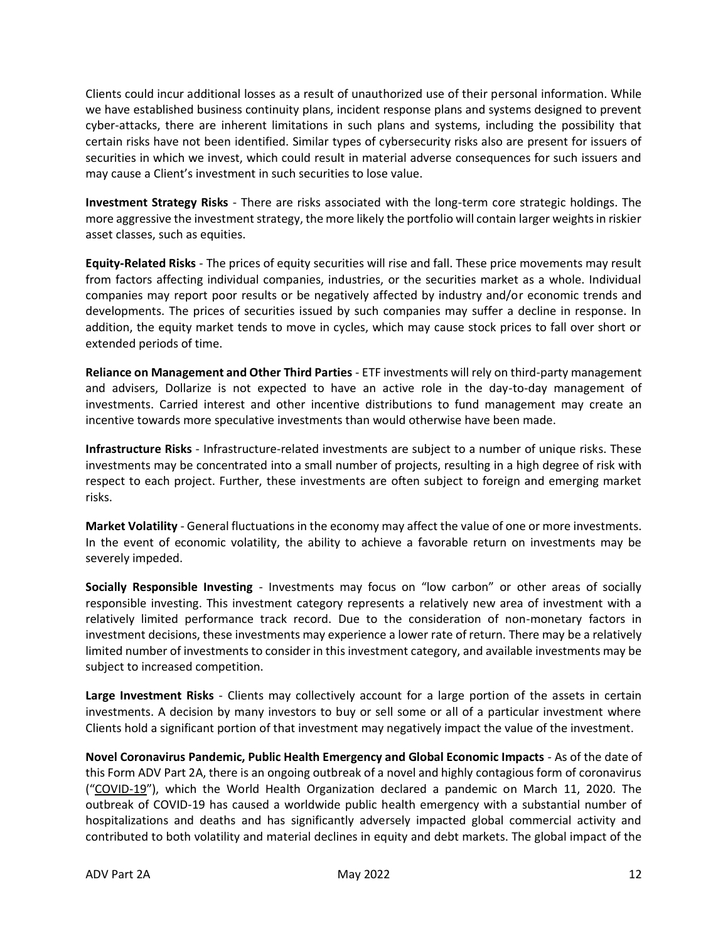Clients could incur additional losses as a result of unauthorized use of their personal information. While we have established business continuity plans, incident response plans and systems designed to prevent cyber-attacks, there are inherent limitations in such plans and systems, including the possibility that certain risks have not been identified. Similar types of cybersecurity risks also are present for issuers of securities in which we invest, which could result in material adverse consequences for such issuers and may cause a Client's investment in such securities to lose value.

**Investment Strategy Risks** - There are risks associated with the long-term core strategic holdings. The more aggressive the investment strategy, the more likely the portfolio will contain larger weights in riskier asset classes, such as equities.

**Equity-Related Risks** - The prices of equity securities will rise and fall. These price movements may result from factors affecting individual companies, industries, or the securities market as a whole. Individual companies may report poor results or be negatively affected by industry and/or economic trends and developments. The prices of securities issued by such companies may suffer a decline in response. In addition, the equity market tends to move in cycles, which may cause stock prices to fall over short or extended periods of time.

**Reliance on Management and Other Third Parties** - ETF investments will rely on third-party management and advisers, Dollarize is not expected to have an active role in the day-to-day management of investments. Carried interest and other incentive distributions to fund management may create an incentive towards more speculative investments than would otherwise have been made.

**Infrastructure Risks** - Infrastructure-related investments are subject to a number of unique risks. These investments may be concentrated into a small number of projects, resulting in a high degree of risk with respect to each project. Further, these investments are often subject to foreign and emerging market risks.

**Market Volatility** - General fluctuations in the economy may affect the value of one or more investments. In the event of economic volatility, the ability to achieve a favorable return on investments may be severely impeded.

**Socially Responsible Investing** - Investments may focus on "low carbon" or other areas of socially responsible investing. This investment category represents a relatively new area of investment with a relatively limited performance track record. Due to the consideration of non-monetary factors in investment decisions, these investments may experience a lower rate of return. There may be a relatively limited number of investments to consider in this investment category, and available investments may be subject to increased competition.

**Large Investment Risks** - Clients may collectively account for a large portion of the assets in certain investments. A decision by many investors to buy or sell some or all of a particular investment where Clients hold a significant portion of that investment may negatively impact the value of the investment.

**Novel Coronavirus Pandemic, Public Health Emergency and Global Economic Impacts** - As of the date of this Form ADV Part 2A, there is an ongoing outbreak of a novel and highly contagious form of coronavirus ("COVID-19"), which the World Health Organization declared a pandemic on March 11, 2020. The outbreak of COVID-19 has caused a worldwide public health emergency with a substantial number of hospitalizations and deaths and has significantly adversely impacted global commercial activity and contributed to both volatility and material declines in equity and debt markets. The global impact of the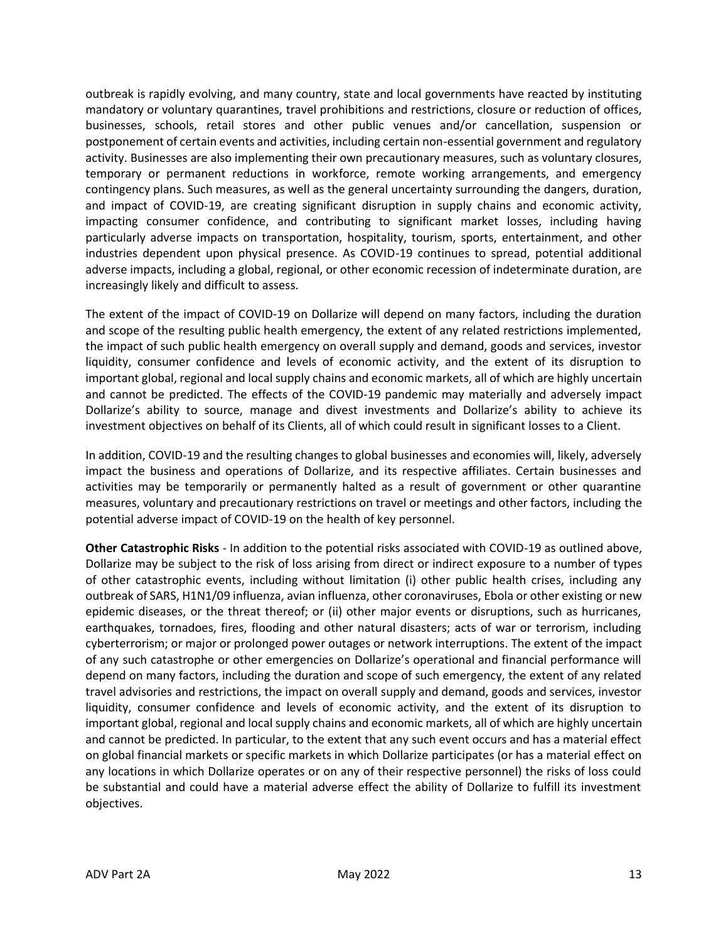outbreak is rapidly evolving, and many country, state and local governments have reacted by instituting mandatory or voluntary quarantines, travel prohibitions and restrictions, closure or reduction of offices, businesses, schools, retail stores and other public venues and/or cancellation, suspension or postponement of certain events and activities, including certain non-essential government and regulatory activity. Businesses are also implementing their own precautionary measures, such as voluntary closures, temporary or permanent reductions in workforce, remote working arrangements, and emergency contingency plans. Such measures, as well as the general uncertainty surrounding the dangers, duration, and impact of COVID-19, are creating significant disruption in supply chains and economic activity, impacting consumer confidence, and contributing to significant market losses, including having particularly adverse impacts on transportation, hospitality, tourism, sports, entertainment, and other industries dependent upon physical presence. As COVID-19 continues to spread, potential additional adverse impacts, including a global, regional, or other economic recession of indeterminate duration, are increasingly likely and difficult to assess.

The extent of the impact of COVID-19 on Dollarize will depend on many factors, including the duration and scope of the resulting public health emergency, the extent of any related restrictions implemented, the impact of such public health emergency on overall supply and demand, goods and services, investor liquidity, consumer confidence and levels of economic activity, and the extent of its disruption to important global, regional and local supply chains and economic markets, all of which are highly uncertain and cannot be predicted. The effects of the COVID-19 pandemic may materially and adversely impact Dollarize's ability to source, manage and divest investments and Dollarize's ability to achieve its investment objectives on behalf of its Clients, all of which could result in significant losses to a Client.

In addition, COVID-19 and the resulting changes to global businesses and economies will, likely, adversely impact the business and operations of Dollarize, and its respective affiliates. Certain businesses and activities may be temporarily or permanently halted as a result of government or other quarantine measures, voluntary and precautionary restrictions on travel or meetings and other factors, including the potential adverse impact of COVID-19 on the health of key personnel.

**Other Catastrophic Risks** - In addition to the potential risks associated with COVID-19 as outlined above, Dollarize may be subject to the risk of loss arising from direct or indirect exposure to a number of types of other catastrophic events, including without limitation (i) other public health crises, including any outbreak of SARS, H1N1/09 influenza, avian influenza, other coronaviruses, Ebola or other existing or new epidemic diseases, or the threat thereof; or (ii) other major events or disruptions, such as hurricanes, earthquakes, tornadoes, fires, flooding and other natural disasters; acts of war or terrorism, including cyberterrorism; or major or prolonged power outages or network interruptions. The extent of the impact of any such catastrophe or other emergencies on Dollarize's operational and financial performance will depend on many factors, including the duration and scope of such emergency, the extent of any related travel advisories and restrictions, the impact on overall supply and demand, goods and services, investor liquidity, consumer confidence and levels of economic activity, and the extent of its disruption to important global, regional and local supply chains and economic markets, all of which are highly uncertain and cannot be predicted. In particular, to the extent that any such event occurs and has a material effect on global financial markets or specific markets in which Dollarize participates (or has a material effect on any locations in which Dollarize operates or on any of their respective personnel) the risks of loss could be substantial and could have a material adverse effect the ability of Dollarize to fulfill its investment objectives.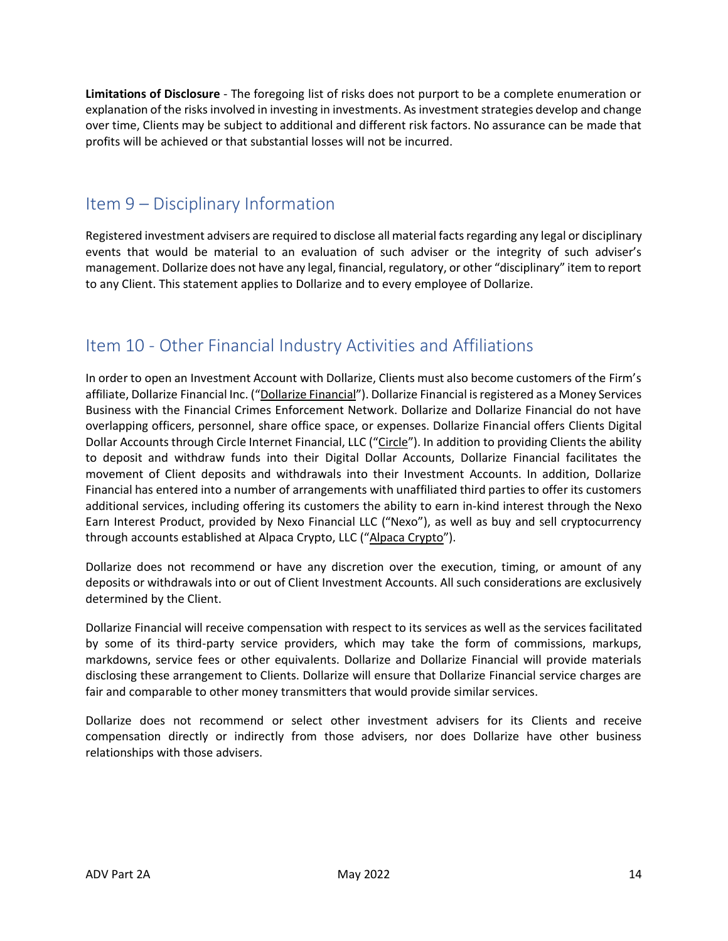**Limitations of Disclosure** - The foregoing list of risks does not purport to be a complete enumeration or explanation of the risks involved in investing in investments. As investment strategies develop and change over time, Clients may be subject to additional and different risk factors. No assurance can be made that profits will be achieved or that substantial losses will not be incurred.

### <span id="page-12-0"></span>Item 9 – Disciplinary Information

Registered investment advisers are required to disclose all material facts regarding any legal or disciplinary events that would be material to an evaluation of such adviser or the integrity of such adviser's management. Dollarize does not have any legal, financial, regulatory, or other "disciplinary" item to report to any Client. This statement applies to Dollarize and to every employee of Dollarize.

# <span id="page-12-1"></span>Item 10 - Other Financial Industry Activities and Affiliations

In order to open an Investment Account with Dollarize, Clients must also become customers of the Firm's affiliate, Dollarize Financial Inc. ("Dollarize Financial"). Dollarize Financial is registered as a Money Services Business with the Financial Crimes Enforcement Network. Dollarize and Dollarize Financial do not have overlapping officers, personnel, share office space, or expenses. Dollarize Financial offers Clients Digital Dollar Accounts through Circle Internet Financial, LLC ("Circle"). In addition to providing Clients the ability to deposit and withdraw funds into their Digital Dollar Accounts, Dollarize Financial facilitates the movement of Client deposits and withdrawals into their Investment Accounts. In addition, Dollarize Financial has entered into a number of arrangements with unaffiliated third parties to offer its customers additional services, including offering its customers the ability to earn in-kind interest through the Nexo Earn Interest Product, provided by Nexo Financial LLC ("Nexo"), as well as buy and sell cryptocurrency through accounts established at Alpaca Crypto, LLC ("Alpaca Crypto").

Dollarize does not recommend or have any discretion over the execution, timing, or amount of any deposits or withdrawals into or out of Client Investment Accounts. All such considerations are exclusively determined by the Client.

Dollarize Financial will receive compensation with respect to its services as well as the services facilitated by some of its third-party service providers, which may take the form of commissions, markups, markdowns, service fees or other equivalents. Dollarize and Dollarize Financial will provide materials disclosing these arrangement to Clients. Dollarize will ensure that Dollarize Financial service charges are fair and comparable to other money transmitters that would provide similar services.

Dollarize does not recommend or select other investment advisers for its Clients and receive compensation directly or indirectly from those advisers, nor does Dollarize have other business relationships with those advisers.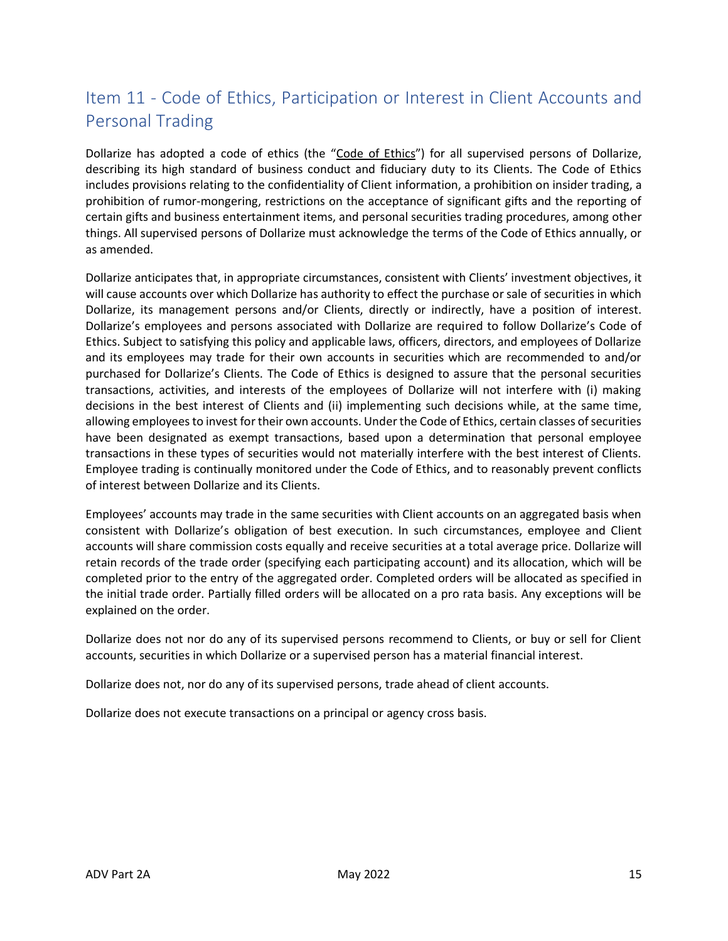# <span id="page-13-0"></span>Item 11 - Code of Ethics, Participation or Interest in Client Accounts and Personal Trading

Dollarize has adopted a code of ethics (the "Code of Ethics") for all supervised persons of Dollarize, describing its high standard of business conduct and fiduciary duty to its Clients. The Code of Ethics includes provisions relating to the confidentiality of Client information, a prohibition on insider trading, a prohibition of rumor-mongering, restrictions on the acceptance of significant gifts and the reporting of certain gifts and business entertainment items, and personal securities trading procedures, among other things. All supervised persons of Dollarize must acknowledge the terms of the Code of Ethics annually, or as amended.

Dollarize anticipates that, in appropriate circumstances, consistent with Clients' investment objectives, it will cause accounts over which Dollarize has authority to effect the purchase or sale of securities in which Dollarize, its management persons and/or Clients, directly or indirectly, have a position of interest. Dollarize's employees and persons associated with Dollarize are required to follow Dollarize's Code of Ethics. Subject to satisfying this policy and applicable laws, officers, directors, and employees of Dollarize and its employees may trade for their own accounts in securities which are recommended to and/or purchased for Dollarize's Clients. The Code of Ethics is designed to assure that the personal securities transactions, activities, and interests of the employees of Dollarize will not interfere with (i) making decisions in the best interest of Clients and (ii) implementing such decisions while, at the same time, allowing employees to invest for their own accounts. Under the Code of Ethics, certain classes of securities have been designated as exempt transactions, based upon a determination that personal employee transactions in these types of securities would not materially interfere with the best interest of Clients. Employee trading is continually monitored under the Code of Ethics, and to reasonably prevent conflicts of interest between Dollarize and its Clients.

Employees' accounts may trade in the same securities with Client accounts on an aggregated basis when consistent with Dollarize's obligation of best execution. In such circumstances, employee and Client accounts will share commission costs equally and receive securities at a total average price. Dollarize will retain records of the trade order (specifying each participating account) and its allocation, which will be completed prior to the entry of the aggregated order. Completed orders will be allocated as specified in the initial trade order. Partially filled orders will be allocated on a pro rata basis. Any exceptions will be explained on the order.

Dollarize does not nor do any of its supervised persons recommend to Clients, or buy or sell for Client accounts, securities in which Dollarize or a supervised person has a material financial interest.

Dollarize does not, nor do any of its supervised persons, trade ahead of client accounts.

Dollarize does not execute transactions on a principal or agency cross basis.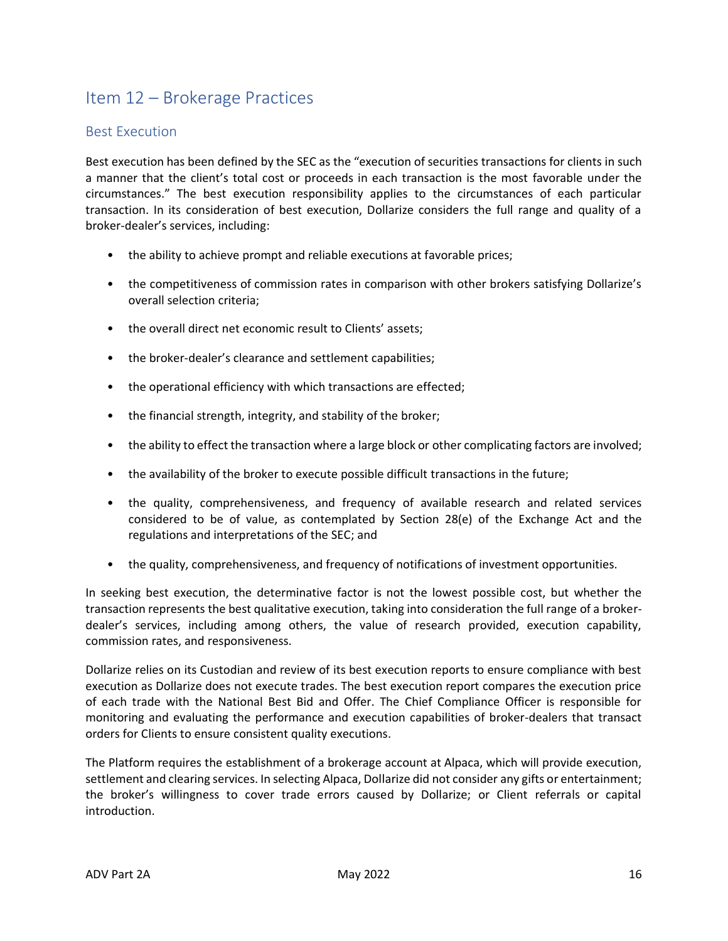# <span id="page-14-0"></span>Item 12 – Brokerage Practices

#### <span id="page-14-1"></span>Best Execution

Best execution has been defined by the SEC as the "execution of securities transactions for clients in such a manner that the client's total cost or proceeds in each transaction is the most favorable under the circumstances." The best execution responsibility applies to the circumstances of each particular transaction. In its consideration of best execution, Dollarize considers the full range and quality of a broker-dealer's services, including:

- the ability to achieve prompt and reliable executions at favorable prices;
- the competitiveness of commission rates in comparison with other brokers satisfying Dollarize's overall selection criteria;
- the overall direct net economic result to Clients' assets:
- the broker-dealer's clearance and settlement capabilities;
- the operational efficiency with which transactions are effected;
- the financial strength, integrity, and stability of the broker;
- the ability to effect the transaction where a large block or other complicating factors are involved;
- the availability of the broker to execute possible difficult transactions in the future;
- the quality, comprehensiveness, and frequency of available research and related services considered to be of value, as contemplated by Section 28(e) of the Exchange Act and the regulations and interpretations of the SEC; and
- the quality, comprehensiveness, and frequency of notifications of investment opportunities.

In seeking best execution, the determinative factor is not the lowest possible cost, but whether the transaction represents the best qualitative execution, taking into consideration the full range of a brokerdealer's services, including among others, the value of research provided, execution capability, commission rates, and responsiveness.

Dollarize relies on its Custodian and review of its best execution reports to ensure compliance with best execution as Dollarize does not execute trades. The best execution report compares the execution price of each trade with the National Best Bid and Offer. The Chief Compliance Officer is responsible for monitoring and evaluating the performance and execution capabilities of broker-dealers that transact orders for Clients to ensure consistent quality executions.

The Platform requires the establishment of a brokerage account at Alpaca, which will provide execution, settlement and clearing services. In selecting Alpaca, Dollarize did not consider any gifts or entertainment; the broker's willingness to cover trade errors caused by Dollarize; or Client referrals or capital introduction.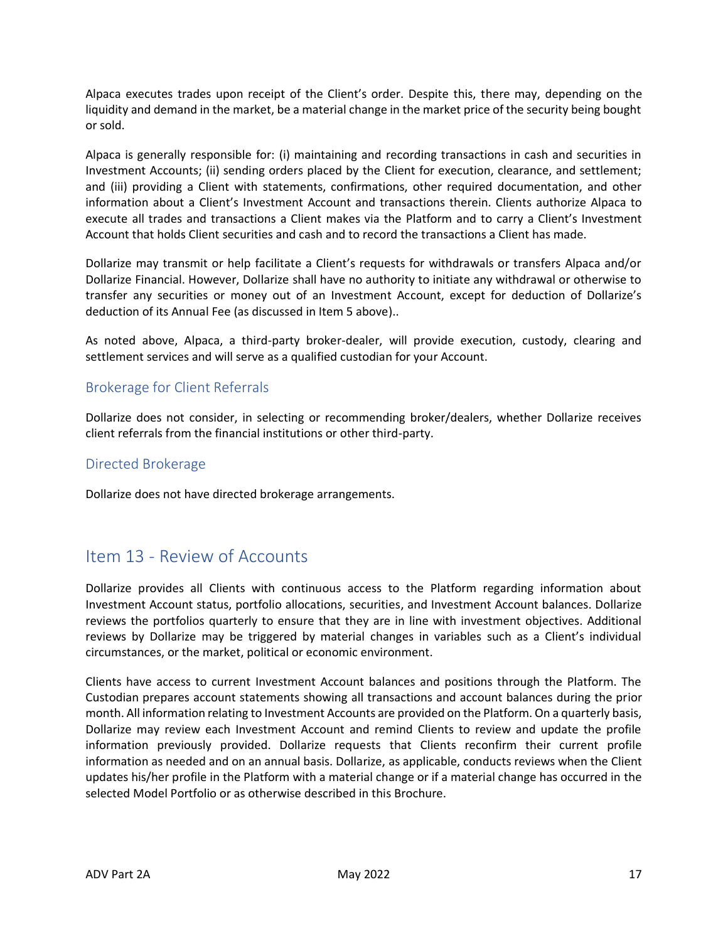Alpaca executes trades upon receipt of the Client's order. Despite this, there may, depending on the liquidity and demand in the market, be a material change in the market price of the security being bought or sold.

Alpaca is generally responsible for: (i) maintaining and recording transactions in cash and securities in Investment Accounts; (ii) sending orders placed by the Client for execution, clearance, and settlement; and (iii) providing a Client with statements, confirmations, other required documentation, and other information about a Client's Investment Account and transactions therein. Clients authorize Alpaca to execute all trades and transactions a Client makes via the Platform and to carry a Client's Investment Account that holds Client securities and cash and to record the transactions a Client has made.

Dollarize may transmit or help facilitate a Client's requests for withdrawals or transfers Alpaca and/or Dollarize Financial. However, Dollarize shall have no authority to initiate any withdrawal or otherwise to transfer any securities or money out of an Investment Account, except for deduction of Dollarize's deduction of its Annual Fee (as discussed in Item 5 above)..

As noted above, Alpaca, a third-party broker-dealer, will provide execution, custody, clearing and settlement services and will serve as a qualified custodian for your Account.

#### <span id="page-15-0"></span>Brokerage for Client Referrals

Dollarize does not consider, in selecting or recommending broker/dealers, whether Dollarize receives client referrals from the financial institutions or other third-party.

#### <span id="page-15-1"></span>Directed Brokerage

Dollarize does not have directed brokerage arrangements.

### <span id="page-15-2"></span>Item 13 - Review of Accounts

Dollarize provides all Clients with continuous access to the Platform regarding information about Investment Account status, portfolio allocations, securities, and Investment Account balances. Dollarize reviews the portfolios quarterly to ensure that they are in line with investment objectives. Additional reviews by Dollarize may be triggered by material changes in variables such as a Client's individual circumstances, or the market, political or economic environment.

Clients have access to current Investment Account balances and positions through the Platform. The Custodian prepares account statements showing all transactions and account balances during the prior month. All information relating to Investment Accounts are provided on the Platform. On a quarterly basis, Dollarize may review each Investment Account and remind Clients to review and update the profile information previously provided. Dollarize requests that Clients reconfirm their current profile information as needed and on an annual basis. Dollarize, as applicable, conducts reviews when the Client updates his/her profile in the Platform with a material change or if a material change has occurred in the selected Model Portfolio or as otherwise described in this Brochure.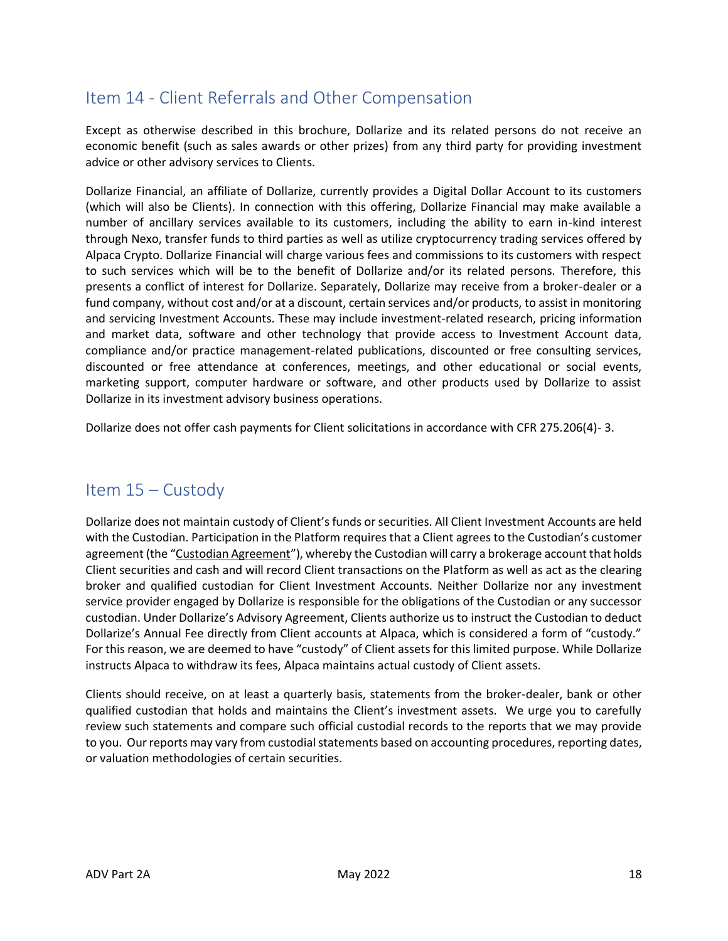# <span id="page-16-0"></span>Item 14 - Client Referrals and Other Compensation

Except as otherwise described in this brochure, Dollarize and its related persons do not receive an economic benefit (such as sales awards or other prizes) from any third party for providing investment advice or other advisory services to Clients.

Dollarize Financial, an affiliate of Dollarize, currently provides a Digital Dollar Account to its customers (which will also be Clients). In connection with this offering, Dollarize Financial may make available a number of ancillary services available to its customers, including the ability to earn in-kind interest through Nexo, transfer funds to third parties as well as utilize cryptocurrency trading services offered by Alpaca Crypto. Dollarize Financial will charge various fees and commissions to its customers with respect to such services which will be to the benefit of Dollarize and/or its related persons. Therefore, this presents a conflict of interest for Dollarize. Separately, Dollarize may receive from a broker-dealer or a fund company, without cost and/or at a discount, certain services and/or products, to assist in monitoring and servicing Investment Accounts. These may include investment-related research, pricing information and market data, software and other technology that provide access to Investment Account data, compliance and/or practice management-related publications, discounted or free consulting services, discounted or free attendance at conferences, meetings, and other educational or social events, marketing support, computer hardware or software, and other products used by Dollarize to assist Dollarize in its investment advisory business operations.

Dollarize does not offer cash payments for Client solicitations in accordance with CFR 275.206(4)- 3.

## <span id="page-16-1"></span>Item 15 – Custody

Dollarize does not maintain custody of Client's funds or securities. All Client Investment Accounts are held with the Custodian. Participation in the Platform requires that a Client agrees to the Custodian's customer agreement (the "Custodian Agreement"), whereby the Custodian will carry a brokerage account that holds Client securities and cash and will record Client transactions on the Platform as well as act as the clearing broker and qualified custodian for Client Investment Accounts. Neither Dollarize nor any investment service provider engaged by Dollarize is responsible for the obligations of the Custodian or any successor custodian. Under Dollarize's Advisory Agreement, Clients authorize us to instruct the Custodian to deduct Dollarize's Annual Fee directly from Client accounts at Alpaca, which is considered a form of "custody." For this reason, we are deemed to have "custody" of Client assets for this limited purpose. While Dollarize instructs Alpaca to withdraw its fees, Alpaca maintains actual custody of Client assets.

Clients should receive, on at least a quarterly basis, statements from the broker-dealer, bank or other qualified custodian that holds and maintains the Client's investment assets. We urge you to carefully review such statements and compare such official custodial records to the reports that we may provide to you. Our reports may vary from custodial statements based on accounting procedures, reporting dates, or valuation methodologies of certain securities.